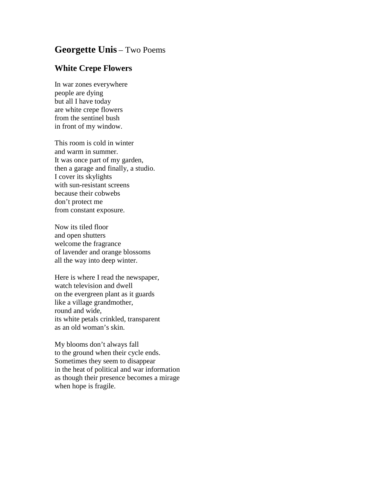## **Georgette Unis** – Two Poems

## **White Crepe Flowers**

In war zones everywhere people are dying but all I have today are white crepe flowers from the sentinel bush in front of my window.

This room is cold in winter and warm in summer. It was once part of my garden, then a garage and finally, a studio. I cover its skylights with sun-resistant screens because their cobwebs don't protect me from constant exposure.

Now its tiled floor and open shutters welcome the fragrance of lavender and orange blossoms all the way into deep winter.

Here is where I read the newspaper, watch television and dwell on the evergreen plant as it guards like a village grandmother, round and wide, its white petals crinkled, transparent as an old woman's skin.

My blooms don't always fall to the ground when their cycle ends. Sometimes they seem to disappear in the heat of political and war information as though their presence becomes a mirage when hope is fragile.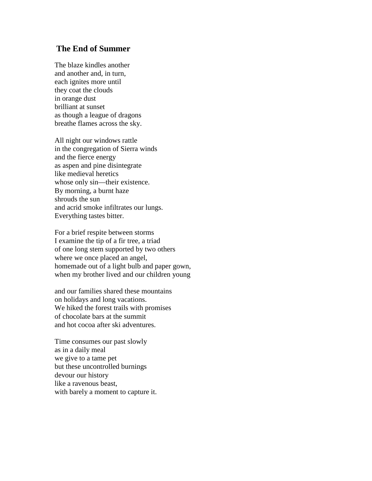## **The End of Summer**

The blaze kindles another and another and, in turn, each ignites more until they coat the clouds in orange dust brilliant at sunset as though a league of dragons breathe flames across the sky.

All night our windows rattle in the congregation of Sierra winds and the fierce energy as aspen and pine disintegrate like medieval heretics whose only sin—their existence. By morning, a burnt haze shrouds the sun and acrid smoke infiltrates our lungs. Everything tastes bitter.

For a brief respite between storms I examine the tip of a fir tree, a triad of one long stem supported by two others where we once placed an angel, homemade out of a light bulb and paper gown, when my brother lived and our children young

and our families shared these mountains on holidays and long vacations. We hiked the forest trails with promises of chocolate bars at the summit and hot cocoa after ski adventures.

Time consumes our past slowly as in a daily meal we give to a tame pet but these uncontrolled burnings devour our history like a ravenous beast, with barely a moment to capture it.